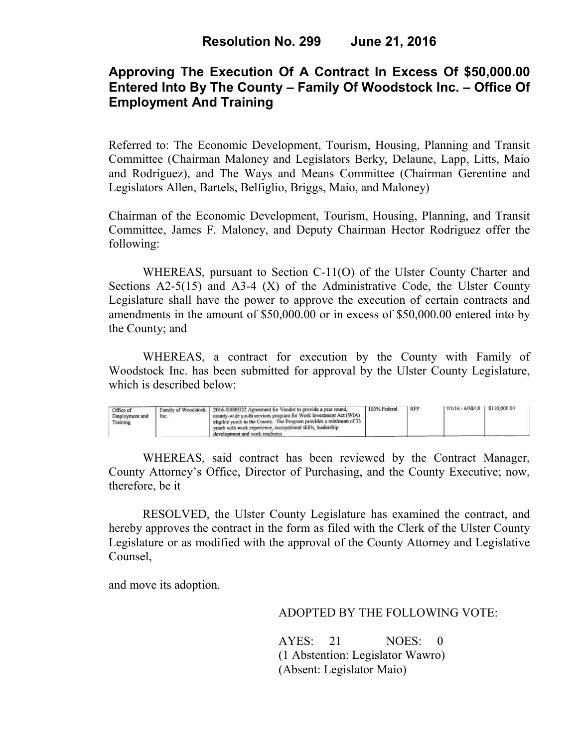## **Approving The Execution Of A Contract In Excess Of \$50,000.00 Entered Into By The County – Family Of Woodstock Inc. – Office Of Employment And Training**

Referred to: The Economic Development, Tourism, Housing, Planning and Transit Committee (Chairman Maloney and Legislators Berky, Delaune, Lapp, Litts, Maio and Rodriguez), and The Ways and Means Committee (Chairman Gerentine and Legislators Allen, Bartels, Belfiglio, Briggs, Maio, and Maloney)

Chairman of the Economic Development, Tourism, Housing, Planning, and Transit Committee, James F. Maloney, and Deputy Chairman Hector Rodriguez offer the following:

WHEREAS, pursuant to Section C-11(O) of the Ulster County Charter and Sections  $A2-5(15)$  and  $A3-4(X)$  of the Administrative Code, the Ulster County Legislature shall have the power to approve the execution of certain contracts and amendments in the amount of \$50,000.00 or in excess of \$50,000.00 entered into by the County; and

 WHEREAS, a contract for execution by the County with Family of Woodstock Inc. has been submitted for approval by the Ulster County Legislature, which is described below:

| Office of<br>Employment and<br>Training | Family of Woodstock<br>Inc. | 2016-00000322 Agreement for Vendor to provide a year round,<br>county-wide youth services program for Work Investment Act (WIA)<br>eligible youth in the County. The Program provides a minimum of 33.<br>vouth with work experience, occupational skills, leadership<br>development and work readiness | 100% Federal | <b>RFP</b> | 7/1/16 - 6/30/18   \$110,000.00 |  |  |
|-----------------------------------------|-----------------------------|---------------------------------------------------------------------------------------------------------------------------------------------------------------------------------------------------------------------------------------------------------------------------------------------------------|--------------|------------|---------------------------------|--|--|
|-----------------------------------------|-----------------------------|---------------------------------------------------------------------------------------------------------------------------------------------------------------------------------------------------------------------------------------------------------------------------------------------------------|--------------|------------|---------------------------------|--|--|

WHEREAS, said contract has been reviewed by the Contract Manager, County Attorney's Office, Director of Purchasing, and the County Executive; now, therefore, be it

RESOLVED, the Ulster County Legislature has examined the contract, and hereby approves the contract in the form as filed with the Clerk of the Ulster County Legislature or as modified with the approval of the County Attorney and Legislative Counsel,

and move its adoption.

ADOPTED BY THE FOLLOWING VOTE:

AYES: 21 NOES: 0 (1 Abstention: Legislator Wawro) (Absent: Legislator Maio)